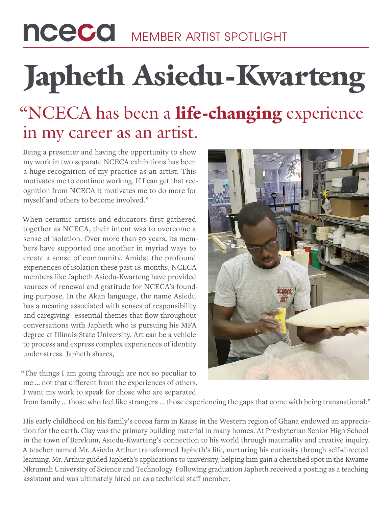## nceco MEMBER ARTIST SPOTLIGHT

# Japheth Asiedu-Kwarteng

#### "NCECA has been a life-changing experience in my career as an artist.

Being a presenter and having the opportunity to show my work in two separate NCECA exhibitions has been a huge recognition of my practice as an artist. This motivates me to continue working. If I can get that recognition from NCECA it motivates me to do more for myself and others to become involved."

When ceramic artists and educators first gathered together as NCECA, their intent was to overcome a sense of isolation. Over more than 50 years, its members have supported one another in myriad ways to create a sense of community. Amidst the profound experiences of isolation these past 18-months, NCECA members like Japheth Asiedu-Kwarteng have provided sources of renewal and gratitude for NCECA's founding purpose. In the Akan language, the name Asiedu has a meaning associated with senses of responsibility and caregiving--essential themes that flow throughout conversations with Japheth who is pursuing his MFA degree at Illinois State University. Art can be a vehicle to process and express complex experiences of identity under stress. Japheth shares,

"The things I am going through are not so peculiar to me … not that different from the experiences of others. I want my work to speak for those who are separated



from family … those who feel like strangers … those experiencing the gaps that come with being transnational."

His early childhood on his family's cocoa farm in Kaase in the Western region of Ghana endowed an appreciation for the earth. Clay was the primary building material in many homes. At Presbyterian Senior High School in the town of Berekum, Asiedu-Kwarteng's connection to his world through materiality and creative inquiry. A teacher named Mr. Asiedu Arthur transformed Japheth's life, nurturing his curiosity through self-directed learning. Mr. Arthur guided Japheth's applications to university, helping him gain a cherished spot in the Kwame Nkrumah University of Science and Technology. Following graduation Japheth received a posting as a teaching assistant and was ultimately hired on as a technical staff member.